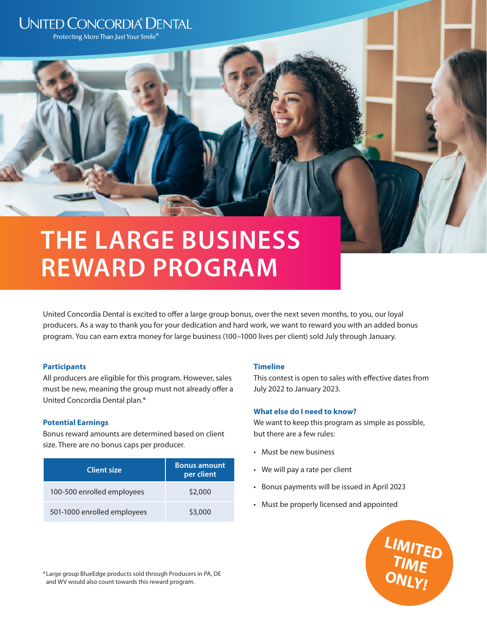# **UNITED CONCORDIA® DENTAL**

Protecting More Than Just Your Smile<sup>®</sup>

# **THE LARGE BUSINESS REWARD PROGRAM**

United Concordia Dental is excited to offer a large group bonus, over the next seven months, to you, our loyal producers. As a way to thank you for your dedication and hard work, we want to reward you with an added bonus program. You can earn extra money for large business (100–1000 lives per client) sold July through January.

## **Participants**

All producers are eligible for this program. However, sales must be new, meaning the group must not already offer a United Concordia Dental plan.\*

## **Potential Earnings**

Bonus reward amounts are determined based on client size. There are no bonus caps per producer.

| <b>Client size</b>          | <b>Bonus amount</b><br>per client |
|-----------------------------|-----------------------------------|
| 100-500 enrolled employees  | \$2,000                           |
| 501-1000 enrolled employees | \$3,000                           |

## **Timeline**

This contest is open to sales with effective dates from July 2022 to January 2023.

## **What else do I need to know?**

We want to keep this program as simple as possible, but there are a few rules:

- Must be new business
- We will pay a rate per client
- Bonus payments will be issued in April 2023
- Must be properly licensed and appointed



\*Large group BlueEdge products sold through Producers in PA, DE and WV would also count towards this reward program.